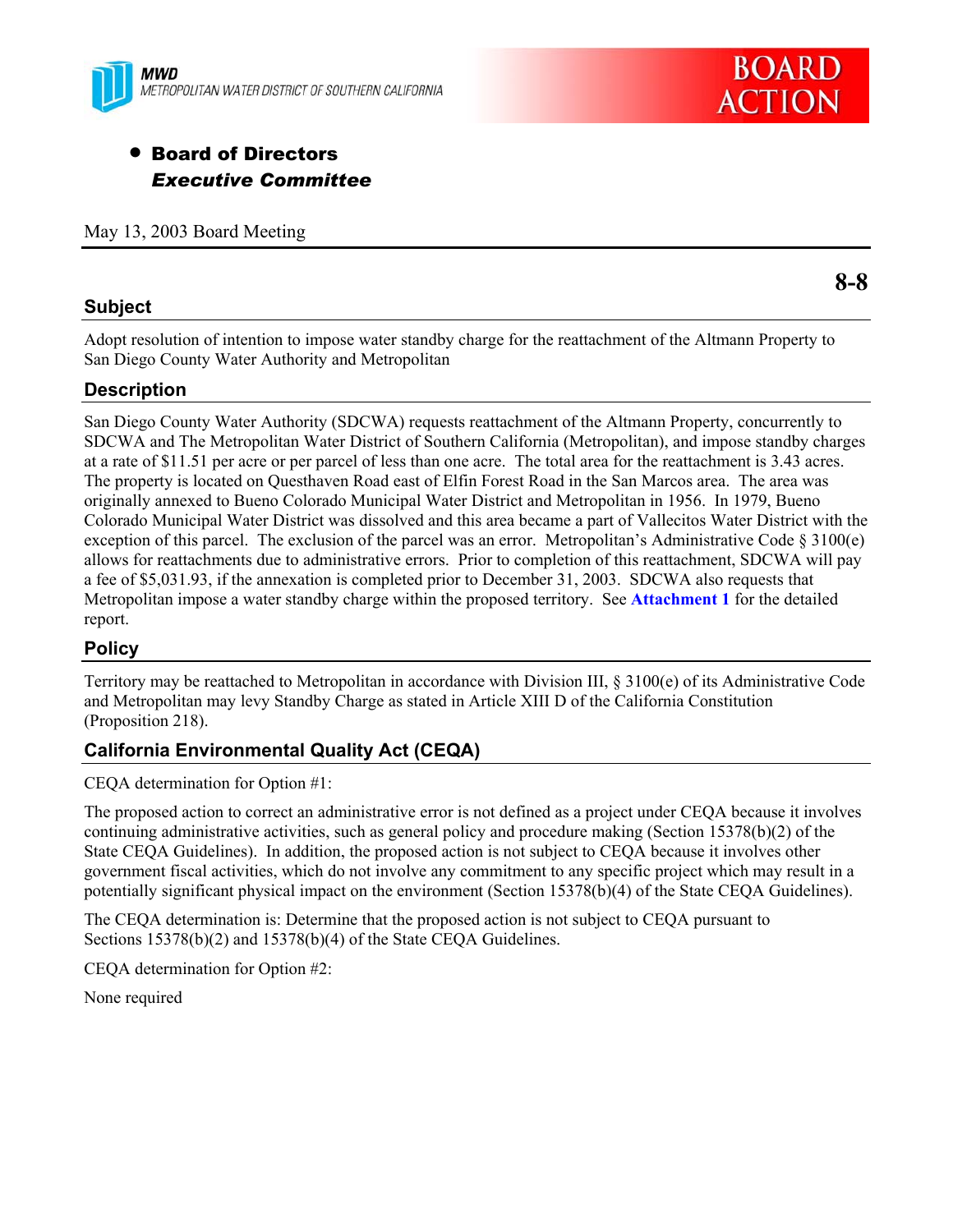



# **• Board of Directors** *Executive Committee*

May 13, 2003 Board Meeting

## **Subject**

**8-8** 

Adopt resolution of intention to impose water standby charge for the reattachment of the Altmann Property to San Diego County Water Authority and Metropolitan

# **Description**

San Diego County Water Authority (SDCWA) requests reattachment of the Altmann Property, concurrently to SDCWA and The Metropolitan Water District of Southern California (Metropolitan), and impose standby charges at a rate of \$11.51 per acre or per parcel of less than one acre. The total area for the reattachment is 3.43 acres. The property is located on Questhaven Road east of Elfin Forest Road in the San Marcos area. The area was originally annexed to Bueno Colorado Municipal Water District and Metropolitan in 1956. In 1979, Bueno Colorado Municipal Water District was dissolved and this area became a part of Vallecitos Water District with the exception of this parcel. The exclusion of the parcel was an error. Metropolitan's Administrative Code § 3100(e) allows for reattachments due to administrative errors. Prior to completion of this reattachment, SDCWA will pay a fee of \$5,031.93, if the annexation is completed prior to December 31, 2003. SDCWA also requests that Metropolitan impose a water standby charge within the proposed territory. See **Attachment 1** for the detailed report.

# **Policy**

Territory may be reattached to Metropolitan in accordance with Division III, § 3100(e) of its Administrative Code and Metropolitan may levy Standby Charge as stated in Article XIII D of the California Constitution (Proposition 218).

# **California Environmental Quality Act (CEQA)**

CEQA determination for Option #1:

The proposed action to correct an administrative error is not defined as a project under CEQA because it involves continuing administrative activities, such as general policy and procedure making (Section 15378(b)(2) of the State CEQA Guidelines). In addition, the proposed action is not subject to CEQA because it involves other government fiscal activities, which do not involve any commitment to any specific project which may result in a potentially significant physical impact on the environment (Section 15378(b)(4) of the State CEQA Guidelines).

The CEQA determination is: Determine that the proposed action is not subject to CEQA pursuant to Sections 15378(b)(2) and 15378(b)(4) of the State CEQA Guidelines.

CEQA determination for Option #2:

None required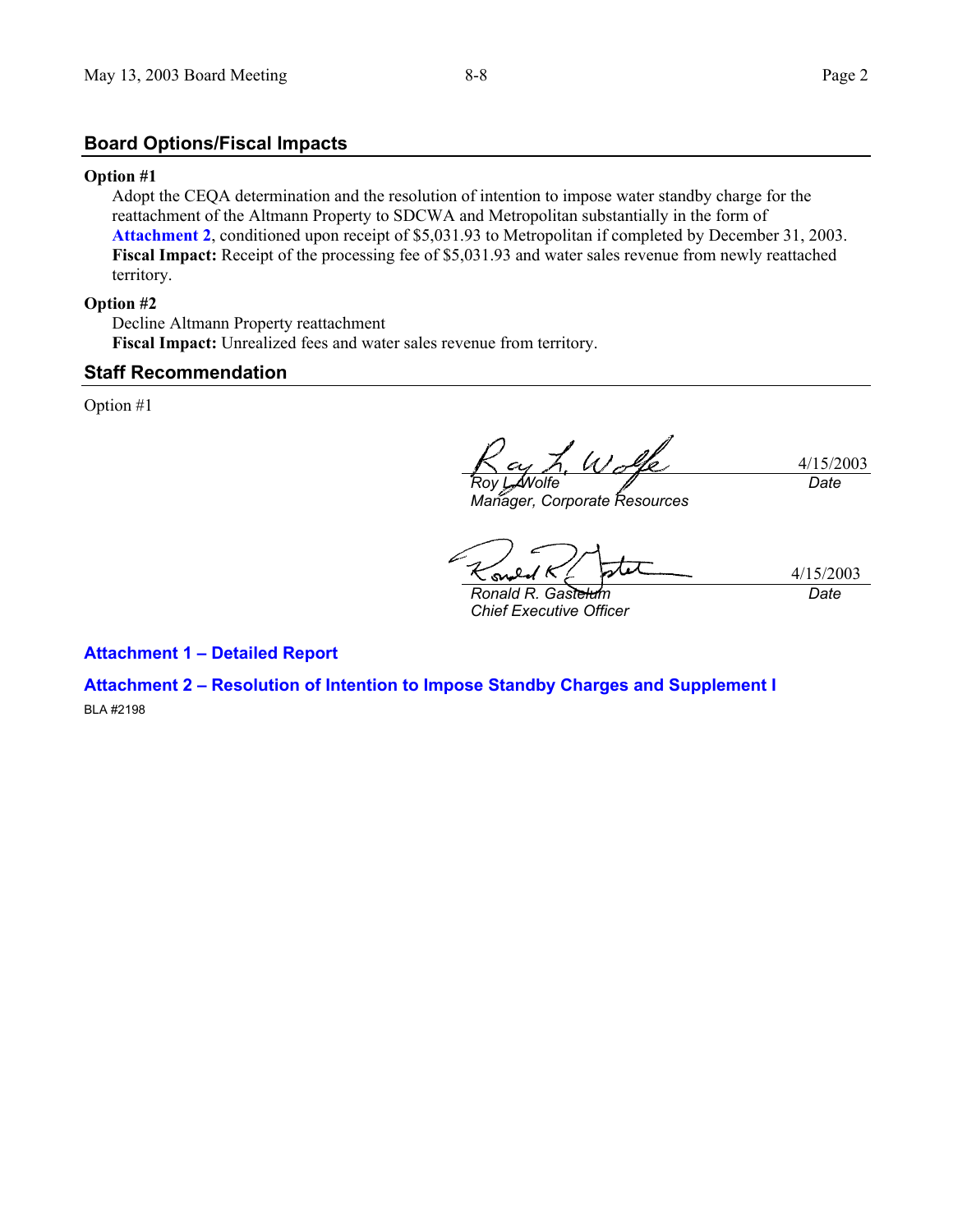## **Board Options/Fiscal Impacts**

#### **Option #1**

Adopt the CEQA determination and the resolution of intention to impose water standby charge for the reattachment of the Altmann Property to SDCWA and Metropolitan substantially in the form of **Attachment 2**, conditioned upon receipt of \$5,031.93 to Metropolitan if completed by December 31, 2003. Fiscal Impact: Receipt of the processing fee of \$5,031.93 and water sales revenue from newly reattached territory.

#### **Option #2**

Decline Altmann Property reattachment **Fiscal Impact:** Unrealized fees and water sales revenue from territory.

### **Staff Recommendation**

Option #1

4/15/2003 *Roy L. Wolfe Date*

*Manager, Corporate Resources* 

4/15/2003 SM. *Ronald R. Gastelum* 

*Chief Executive Officer* 

*Date*

### **Attachment 1 – Detailed Report**

**Attachment 2 – Resolution of Intention to Impose Standby Charges and Supplement I**  BLA #2198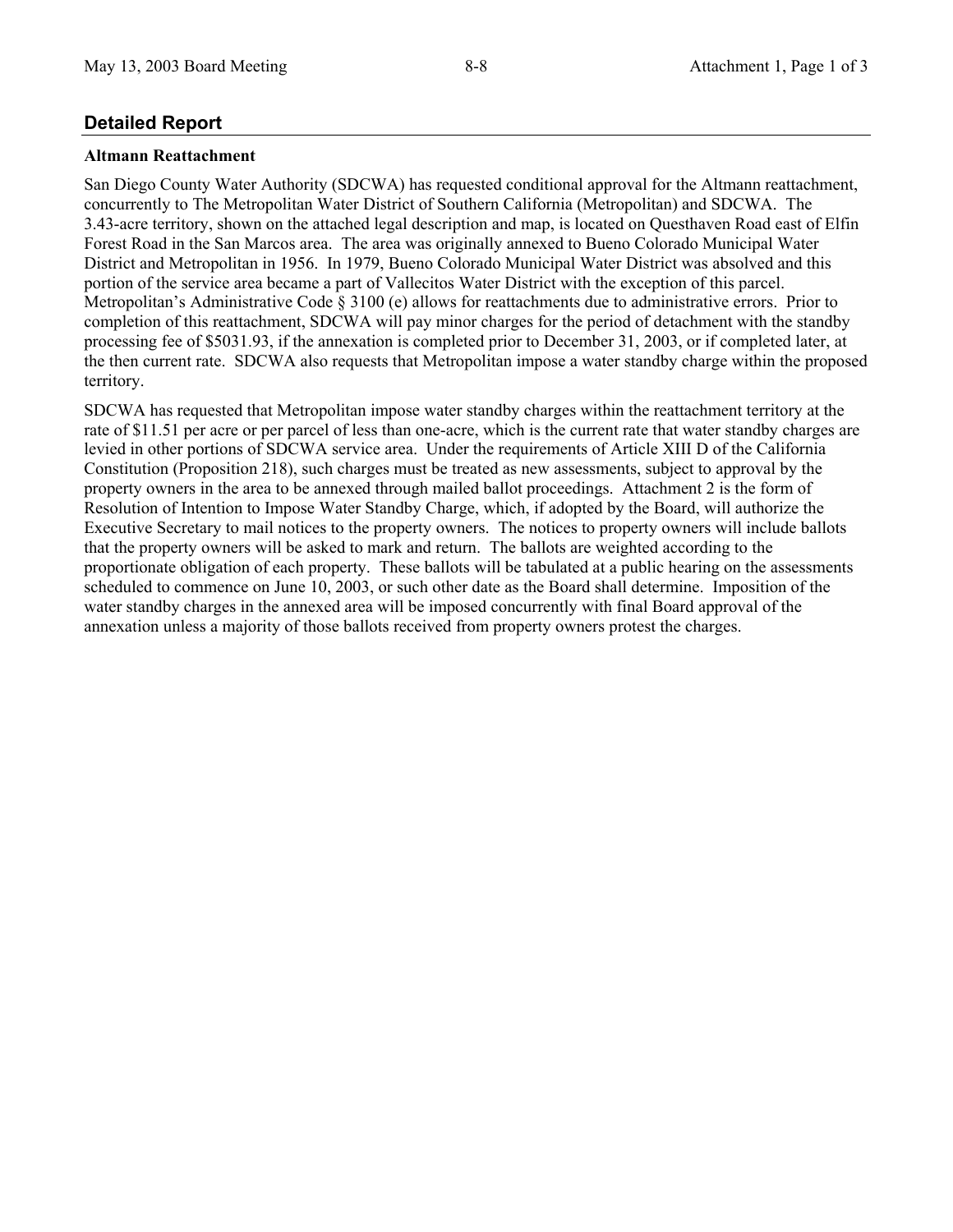# **Detailed Report**

### **Altmann Reattachment**

San Diego County Water Authority (SDCWA) has requested conditional approval for the Altmann reattachment, concurrently to The Metropolitan Water District of Southern California (Metropolitan) and SDCWA. The 3.43-acre territory, shown on the attached legal description and map, is located on Questhaven Road east of Elfin Forest Road in the San Marcos area. The area was originally annexed to Bueno Colorado Municipal Water District and Metropolitan in 1956. In 1979, Bueno Colorado Municipal Water District was absolved and this portion of the service area became a part of Vallecitos Water District with the exception of this parcel. Metropolitan's Administrative Code § 3100 (e) allows for reattachments due to administrative errors. Prior to completion of this reattachment, SDCWA will pay minor charges for the period of detachment with the standby processing fee of \$5031.93, if the annexation is completed prior to December 31, 2003, or if completed later, at the then current rate. SDCWA also requests that Metropolitan impose a water standby charge within the proposed territory.

SDCWA has requested that Metropolitan impose water standby charges within the reattachment territory at the rate of \$11.51 per acre or per parcel of less than one-acre, which is the current rate that water standby charges are levied in other portions of SDCWA service area. Under the requirements of Article XIII D of the California Constitution (Proposition 218), such charges must be treated as new assessments, subject to approval by the property owners in the area to be annexed through mailed ballot proceedings. Attachment 2 is the form of Resolution of Intention to Impose Water Standby Charge, which, if adopted by the Board, will authorize the Executive Secretary to mail notices to the property owners. The notices to property owners will include ballots that the property owners will be asked to mark and return. The ballots are weighted according to the proportionate obligation of each property. These ballots will be tabulated at a public hearing on the assessments scheduled to commence on June 10, 2003, or such other date as the Board shall determine. Imposition of the water standby charges in the annexed area will be imposed concurrently with final Board approval of the annexation unless a majority of those ballots received from property owners protest the charges.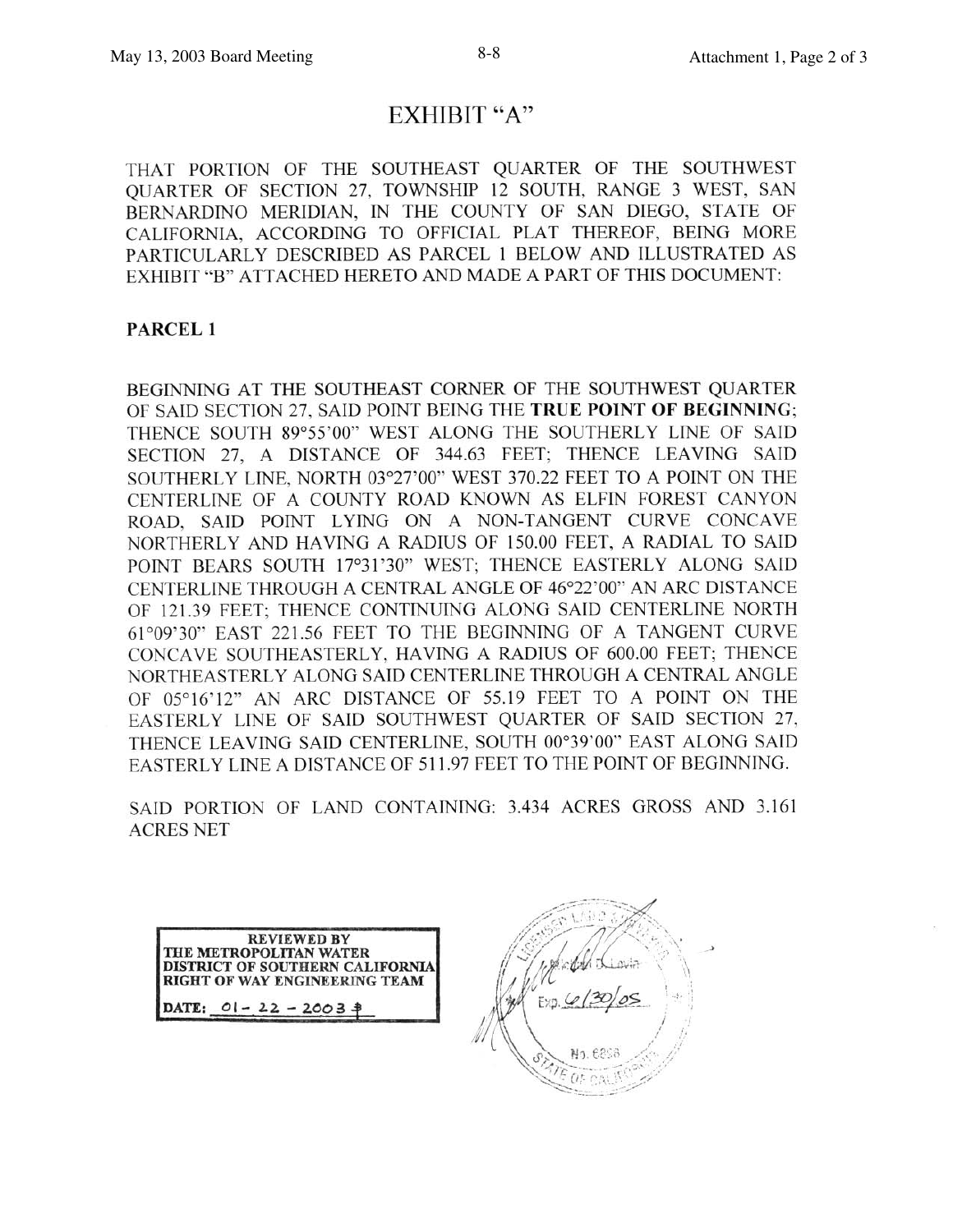# EXHIBIT "A"

THAT PORTION OF THE SOUTHEAST QUARTER OF THE SOUTHWEST QUARTER OF SECTION 27, TOWNSHIP 12 SOUTH, RANGE 3 WEST, SAN BERNARDINO MERIDIAN, IN THE COUNTY OF SAN DIEGO, STATE OF CALIFORNIA, ACCORDING TO OFFICIAL PLAT THEREOF, BEING MORE PARTICULARLY DESCRIBED AS PARCEL 1 BELOW AND ILLUSTRATED AS EXHIBIT "B" ATTACHED HERETO AND MADE A PART OF THIS DOCUMENT:

# **PARCEL 1**

BEGINNING AT THE SOUTHEAST CORNER OF THE SOUTHWEST QUARTER OF SAID SECTION 27, SAID POINT BEING THE TRUE POINT OF BEGINNING; THENCE SOUTH 89°55'00" WEST ALONG THE SOUTHERLY LINE OF SAID SECTION 27, A DISTANCE OF 344.63 FEET; THENCE LEAVING SAID SOUTHERLY LINE, NORTH 03°27'00" WEST 370.22 FEET TO A POINT ON THE CENTERLINE OF A COUNTY ROAD KNOWN AS ELFIN FOREST CANYON ROAD, SAID POINT LYING ON A NON-TANGENT CURVE CONCAVE NORTHERLY AND HAVING A RADIUS OF 150.00 FEET, A RADIAL TO SAID POINT BEARS SOUTH 17°31'30" WEST; THENCE EASTERLY ALONG SAID CENTERLINE THROUGH A CENTRAL ANGLE OF 46°22'00" AN ARC DISTANCE OF 121.39 FEET: THENCE CONTINUING ALONG SAID CENTERLINE NORTH 61°09'30" EAST 221.56 FEET TO THE BEGINNING OF A TANGENT CURVE CONCAVE SOUTHEASTERLY, HAVING A RADIUS OF 600.00 FEET; THENCE NORTHEASTERLY ALONG SAID CENTERLINE THROUGH A CENTRAL ANGLE OF 05°16'12" AN ARC DISTANCE OF 55.19 FEET TO A POINT ON THE EASTERLY LINE OF SAID SOUTHWEST QUARTER OF SAID SECTION 27, THENCE LEAVING SAID CENTERLINE, SOUTH 00°39'00" EAST ALONG SAID EASTERLY LINE A DISTANCE OF 511.97 FEET TO THE POINT OF BEGINNING.

SAID PORTION OF LAND CONTAINING: 3.434 ACRES GROSS AND 3.161 **ACRES NET** 



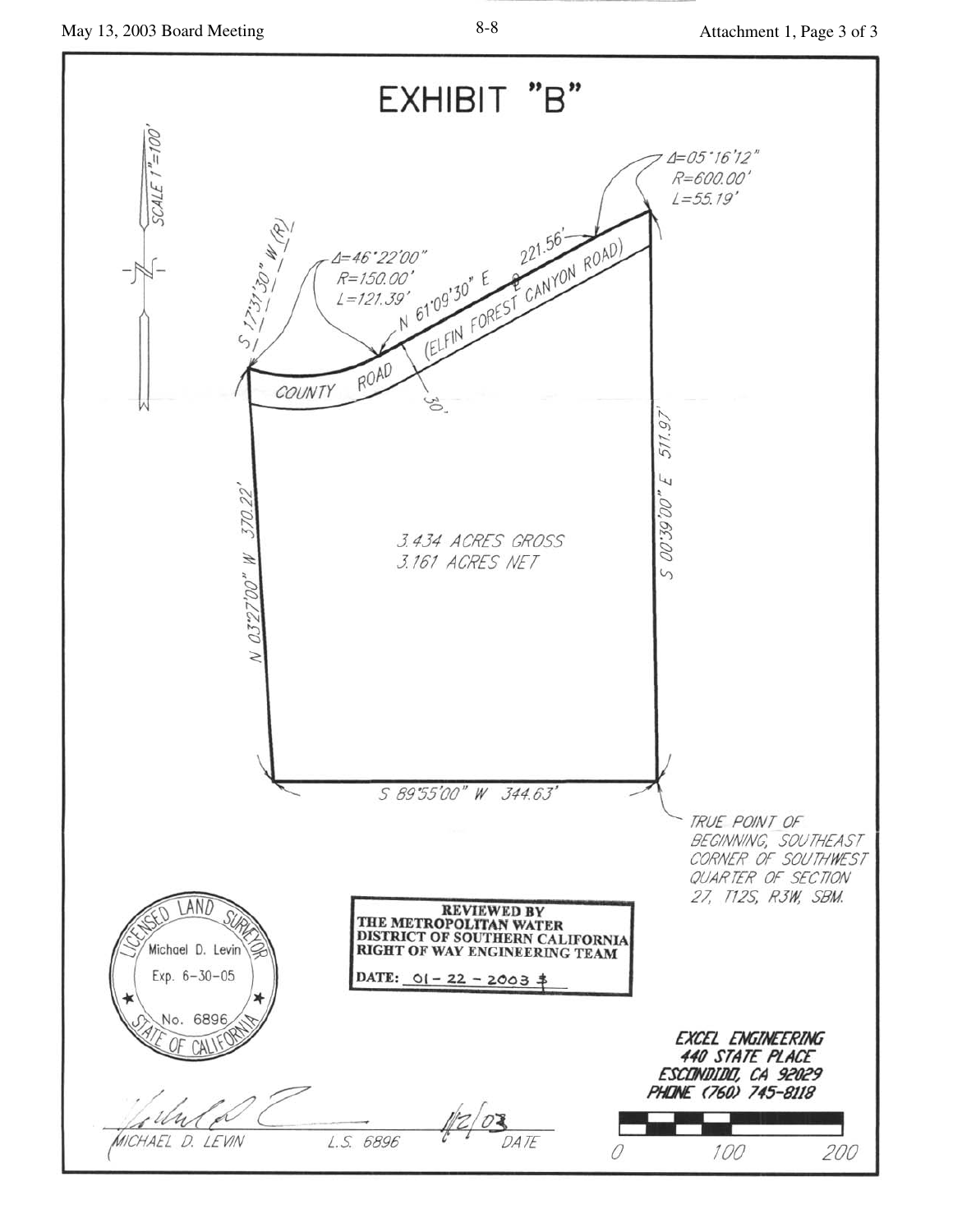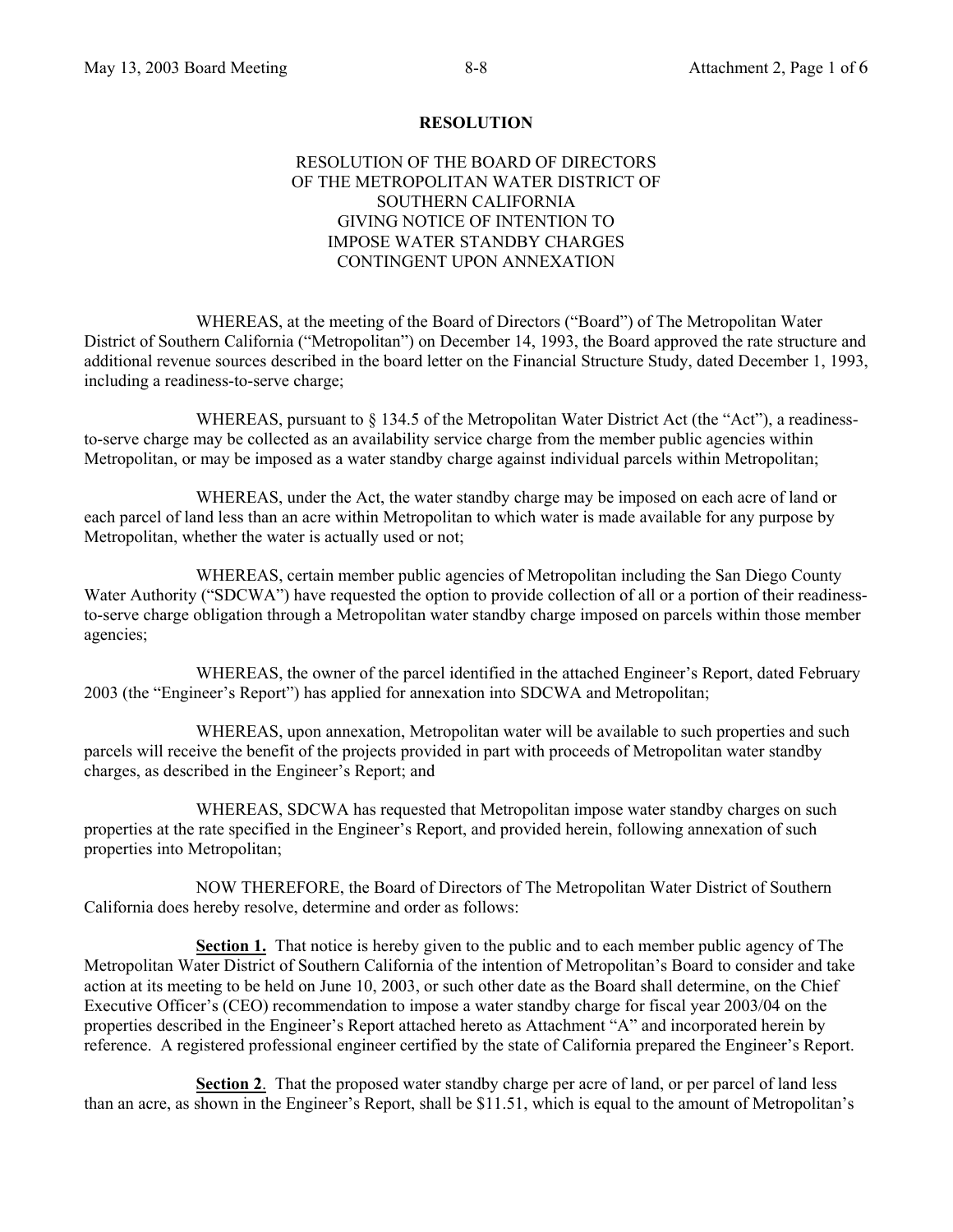#### **RESOLUTION**

### RESOLUTION OF THE BOARD OF DIRECTORS OF THE METROPOLITAN WATER DISTRICT OF SOUTHERN CALIFORNIA GIVING NOTICE OF INTENTION TO IMPOSE WATER STANDBY CHARGES CONTINGENT UPON ANNEXATION

 WHEREAS, at the meeting of the Board of Directors ("Board") of The Metropolitan Water District of Southern California ("Metropolitan") on December 14, 1993, the Board approved the rate structure and additional revenue sources described in the board letter on the Financial Structure Study, dated December 1, 1993, including a readiness-to-serve charge;

WHEREAS, pursuant to  $\S 134.5$  of the Metropolitan Water District Act (the "Act"), a readinessto-serve charge may be collected as an availability service charge from the member public agencies within Metropolitan, or may be imposed as a water standby charge against individual parcels within Metropolitan;

 WHEREAS, under the Act, the water standby charge may be imposed on each acre of land or each parcel of land less than an acre within Metropolitan to which water is made available for any purpose by Metropolitan, whether the water is actually used or not;

 WHEREAS, certain member public agencies of Metropolitan including the San Diego County Water Authority ("SDCWA") have requested the option to provide collection of all or a portion of their readinessto-serve charge obligation through a Metropolitan water standby charge imposed on parcels within those member agencies;

 WHEREAS, the owner of the parcel identified in the attached Engineer's Report, dated February 2003 (the "Engineer's Report") has applied for annexation into SDCWA and Metropolitan;

 WHEREAS, upon annexation, Metropolitan water will be available to such properties and such parcels will receive the benefit of the projects provided in part with proceeds of Metropolitan water standby charges, as described in the Engineer's Report; and

 WHEREAS, SDCWA has requested that Metropolitan impose water standby charges on such properties at the rate specified in the Engineer's Report, and provided herein, following annexation of such properties into Metropolitan;

 NOW THEREFORE, the Board of Directors of The Metropolitan Water District of Southern California does hereby resolve, determine and order as follows:

**Section 1.** That notice is hereby given to the public and to each member public agency of The Metropolitan Water District of Southern California of the intention of Metropolitan's Board to consider and take action at its meeting to be held on June 10, 2003, or such other date as the Board shall determine, on the Chief Executive Officer's (CEO) recommendation to impose a water standby charge for fiscal year 2003/04 on the properties described in the Engineer's Report attached hereto as Attachment "A" and incorporated herein by reference. A registered professional engineer certified by the state of California prepared the Engineer's Report.

**Section 2**. That the proposed water standby charge per acre of land, or per parcel of land less than an acre, as shown in the Engineer's Report, shall be \$11.51, which is equal to the amount of Metropolitan's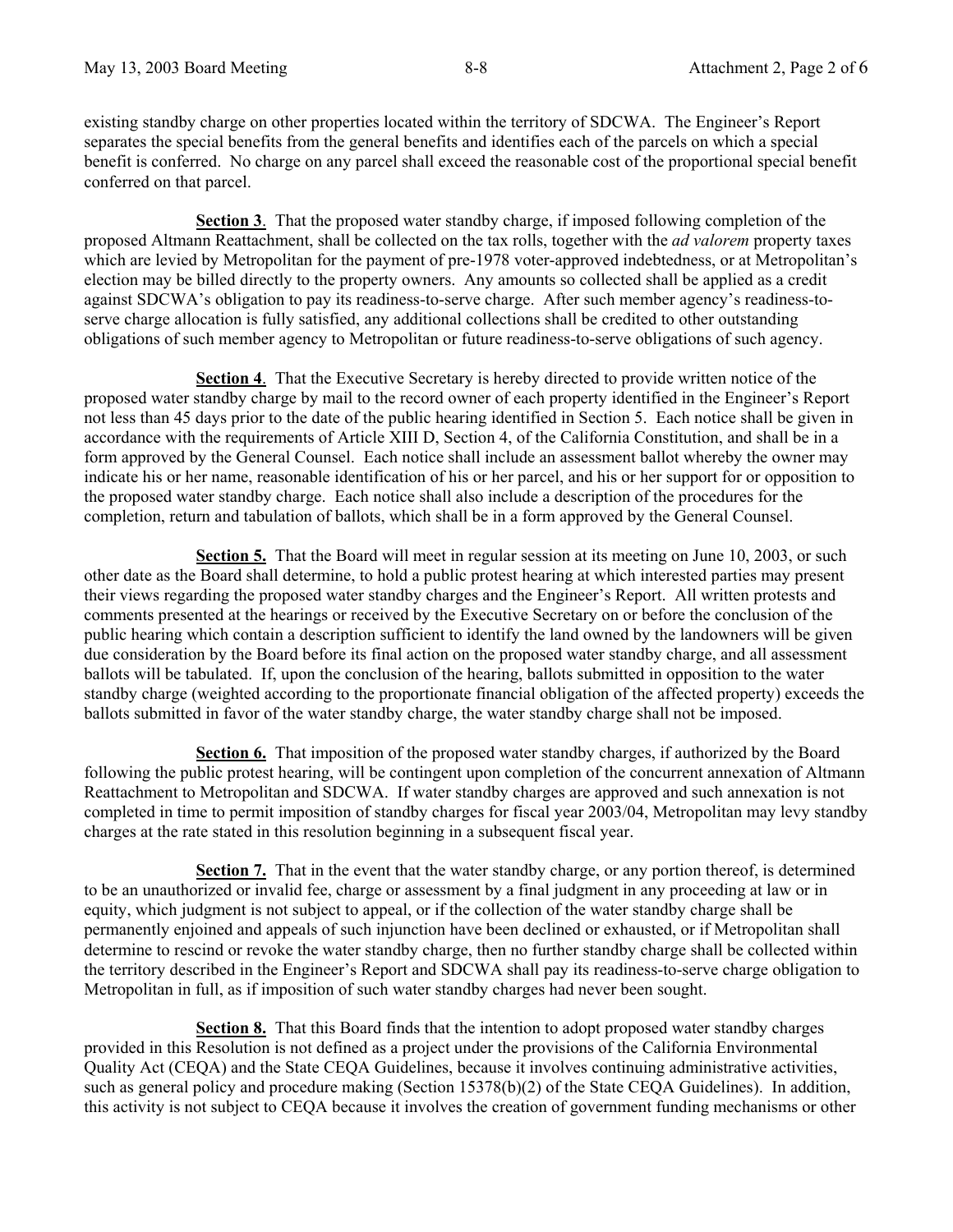existing standby charge on other properties located within the territory of SDCWA. The Engineer's Report separates the special benefits from the general benefits and identifies each of the parcels on which a special benefit is conferred. No charge on any parcel shall exceed the reasonable cost of the proportional special benefit conferred on that parcel.

**Section 3**. That the proposed water standby charge, if imposed following completion of the proposed Altmann Reattachment, shall be collected on the tax rolls, together with the *ad valorem* property taxes which are levied by Metropolitan for the payment of pre-1978 voter-approved indebtedness, or at Metropolitan's election may be billed directly to the property owners. Any amounts so collected shall be applied as a credit against SDCWA's obligation to pay its readiness-to-serve charge. After such member agency's readiness-toserve charge allocation is fully satisfied, any additional collections shall be credited to other outstanding obligations of such member agency to Metropolitan or future readiness-to-serve obligations of such agency.

**Section 4**. That the Executive Secretary is hereby directed to provide written notice of the proposed water standby charge by mail to the record owner of each property identified in the Engineer's Report not less than 45 days prior to the date of the public hearing identified in Section 5. Each notice shall be given in accordance with the requirements of Article XIII D, Section 4, of the California Constitution, and shall be in a form approved by the General Counsel. Each notice shall include an assessment ballot whereby the owner may indicate his or her name, reasonable identification of his or her parcel, and his or her support for or opposition to the proposed water standby charge. Each notice shall also include a description of the procedures for the completion, return and tabulation of ballots, which shall be in a form approved by the General Counsel.

**Section 5.** That the Board will meet in regular session at its meeting on June 10, 2003, or such other date as the Board shall determine, to hold a public protest hearing at which interested parties may present their views regarding the proposed water standby charges and the Engineer's Report. All written protests and comments presented at the hearings or received by the Executive Secretary on or before the conclusion of the public hearing which contain a description sufficient to identify the land owned by the landowners will be given due consideration by the Board before its final action on the proposed water standby charge, and all assessment ballots will be tabulated. If, upon the conclusion of the hearing, ballots submitted in opposition to the water standby charge (weighted according to the proportionate financial obligation of the affected property) exceeds the ballots submitted in favor of the water standby charge, the water standby charge shall not be imposed.

**Section 6.** That imposition of the proposed water standby charges, if authorized by the Board following the public protest hearing, will be contingent upon completion of the concurrent annexation of Altmann Reattachment to Metropolitan and SDCWA. If water standby charges are approved and such annexation is not completed in time to permit imposition of standby charges for fiscal year 2003/04, Metropolitan may levy standby charges at the rate stated in this resolution beginning in a subsequent fiscal year.

**Section 7.** That in the event that the water standby charge, or any portion thereof, is determined to be an unauthorized or invalid fee, charge or assessment by a final judgment in any proceeding at law or in equity, which judgment is not subject to appeal, or if the collection of the water standby charge shall be permanently enjoined and appeals of such injunction have been declined or exhausted, or if Metropolitan shall determine to rescind or revoke the water standby charge, then no further standby charge shall be collected within the territory described in the Engineer's Report and SDCWA shall pay its readiness-to-serve charge obligation to Metropolitan in full, as if imposition of such water standby charges had never been sought.

**Section 8.** That this Board finds that the intention to adopt proposed water standby charges provided in this Resolution is not defined as a project under the provisions of the California Environmental Quality Act (CEQA) and the State CEQA Guidelines, because it involves continuing administrative activities, such as general policy and procedure making (Section 15378(b)(2) of the State CEQA Guidelines). In addition, this activity is not subject to CEQA because it involves the creation of government funding mechanisms or other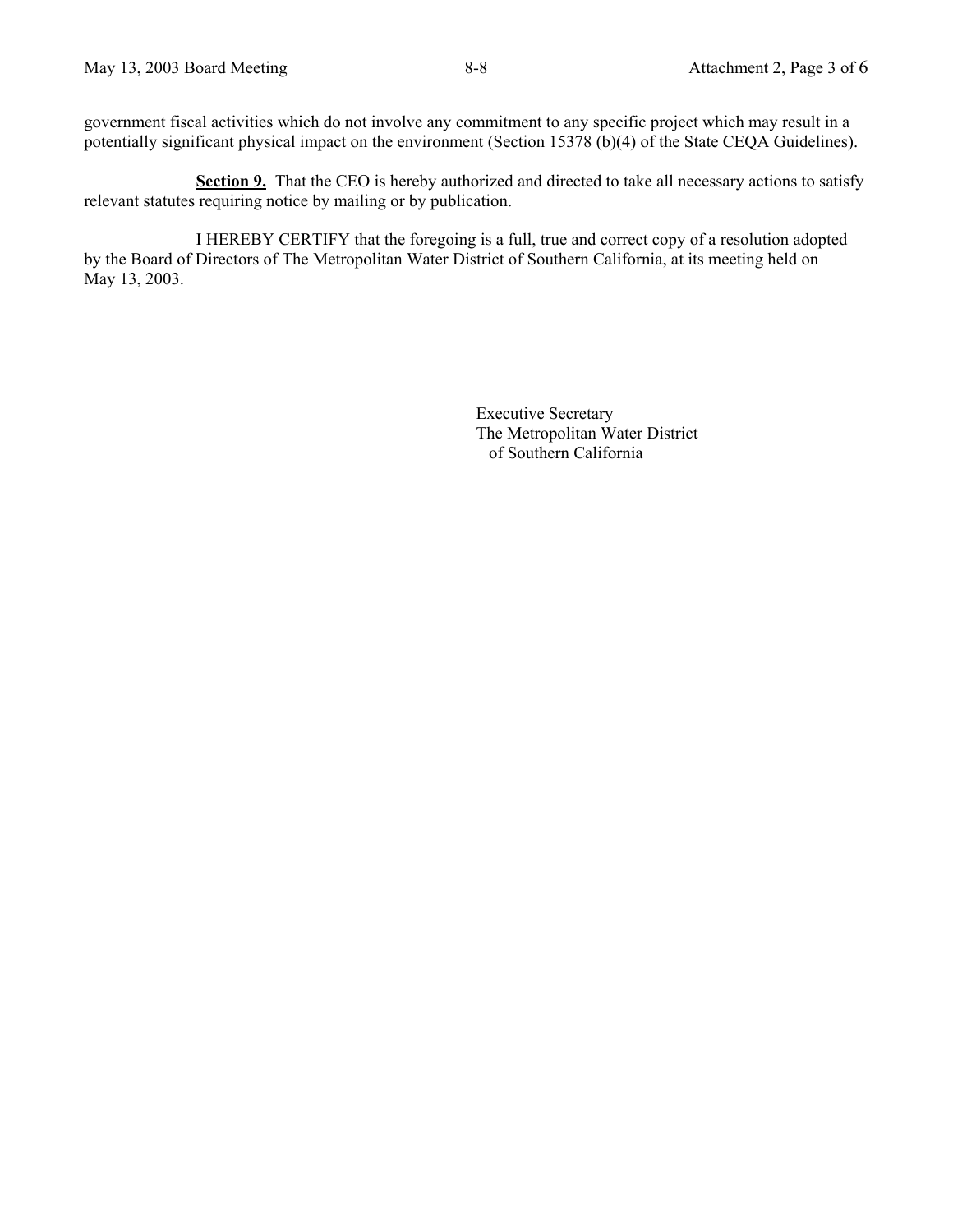government fiscal activities which do not involve any commitment to any specific project which may result in a potentially significant physical impact on the environment (Section 15378 (b)(4) of the State CEQA Guidelines).

**Section 9.** That the CEO is hereby authorized and directed to take all necessary actions to satisfy relevant statutes requiring notice by mailing or by publication.

 I HEREBY CERTIFY that the foregoing is a full, true and correct copy of a resolution adopted by the Board of Directors of The Metropolitan Water District of Southern California, at its meeting held on May 13, 2003.

> Executive Secretary The Metropolitan Water District of Southern California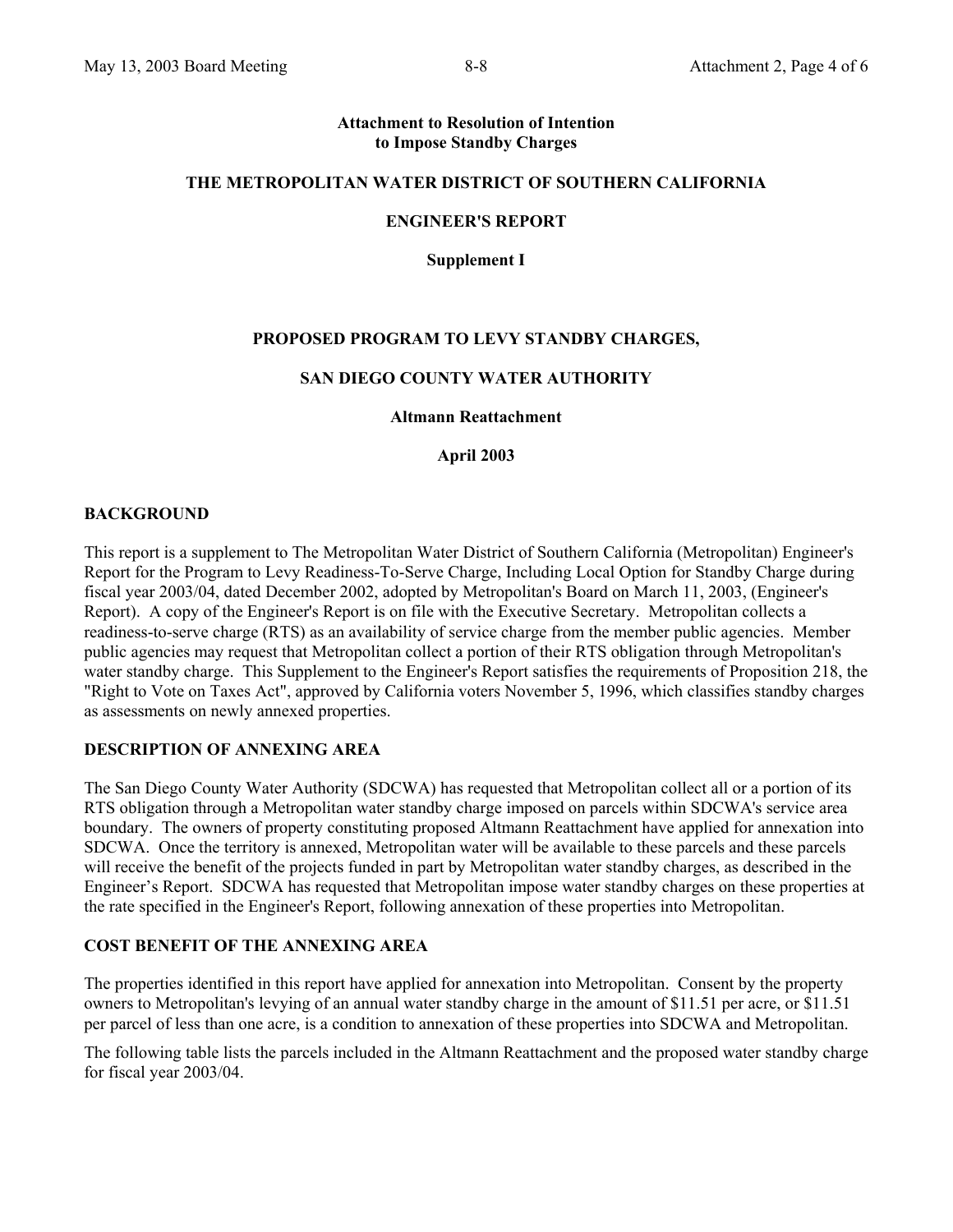#### **Attachment to Resolution of Intention to Impose Standby Charges**

#### **THE METROPOLITAN WATER DISTRICT OF SOUTHERN CALIFORNIA**

#### **ENGINEER'S REPORT**

**Supplement I** 

### **PROPOSED PROGRAM TO LEVY STANDBY CHARGES,**

#### **SAN DIEGO COUNTY WATER AUTHORITY**

#### **Altmann Reattachment**

**April 2003** 

#### **BACKGROUND**

This report is a supplement to The Metropolitan Water District of Southern California (Metropolitan) Engineer's Report for the Program to Levy Readiness-To-Serve Charge, Including Local Option for Standby Charge during fiscal year 2003/04, dated December 2002, adopted by Metropolitan's Board on March 11, 2003, (Engineer's Report). A copy of the Engineer's Report is on file with the Executive Secretary. Metropolitan collects a readiness-to-serve charge (RTS) as an availability of service charge from the member public agencies. Member public agencies may request that Metropolitan collect a portion of their RTS obligation through Metropolitan's water standby charge. This Supplement to the Engineer's Report satisfies the requirements of Proposition 218, the "Right to Vote on Taxes Act", approved by California voters November 5, 1996, which classifies standby charges as assessments on newly annexed properties.

### **DESCRIPTION OF ANNEXING AREA**

The San Diego County Water Authority (SDCWA) has requested that Metropolitan collect all or a portion of its RTS obligation through a Metropolitan water standby charge imposed on parcels within SDCWA's service area boundary. The owners of property constituting proposed Altmann Reattachment have applied for annexation into SDCWA. Once the territory is annexed, Metropolitan water will be available to these parcels and these parcels will receive the benefit of the projects funded in part by Metropolitan water standby charges, as described in the Engineer's Report. SDCWA has requested that Metropolitan impose water standby charges on these properties at the rate specified in the Engineer's Report, following annexation of these properties into Metropolitan.

### **COST BENEFIT OF THE ANNEXING AREA**

The properties identified in this report have applied for annexation into Metropolitan. Consent by the property owners to Metropolitan's levying of an annual water standby charge in the amount of \$11.51 per acre, or \$11.51 per parcel of less than one acre, is a condition to annexation of these properties into SDCWA and Metropolitan.

The following table lists the parcels included in the Altmann Reattachment and the proposed water standby charge for fiscal year 2003/04.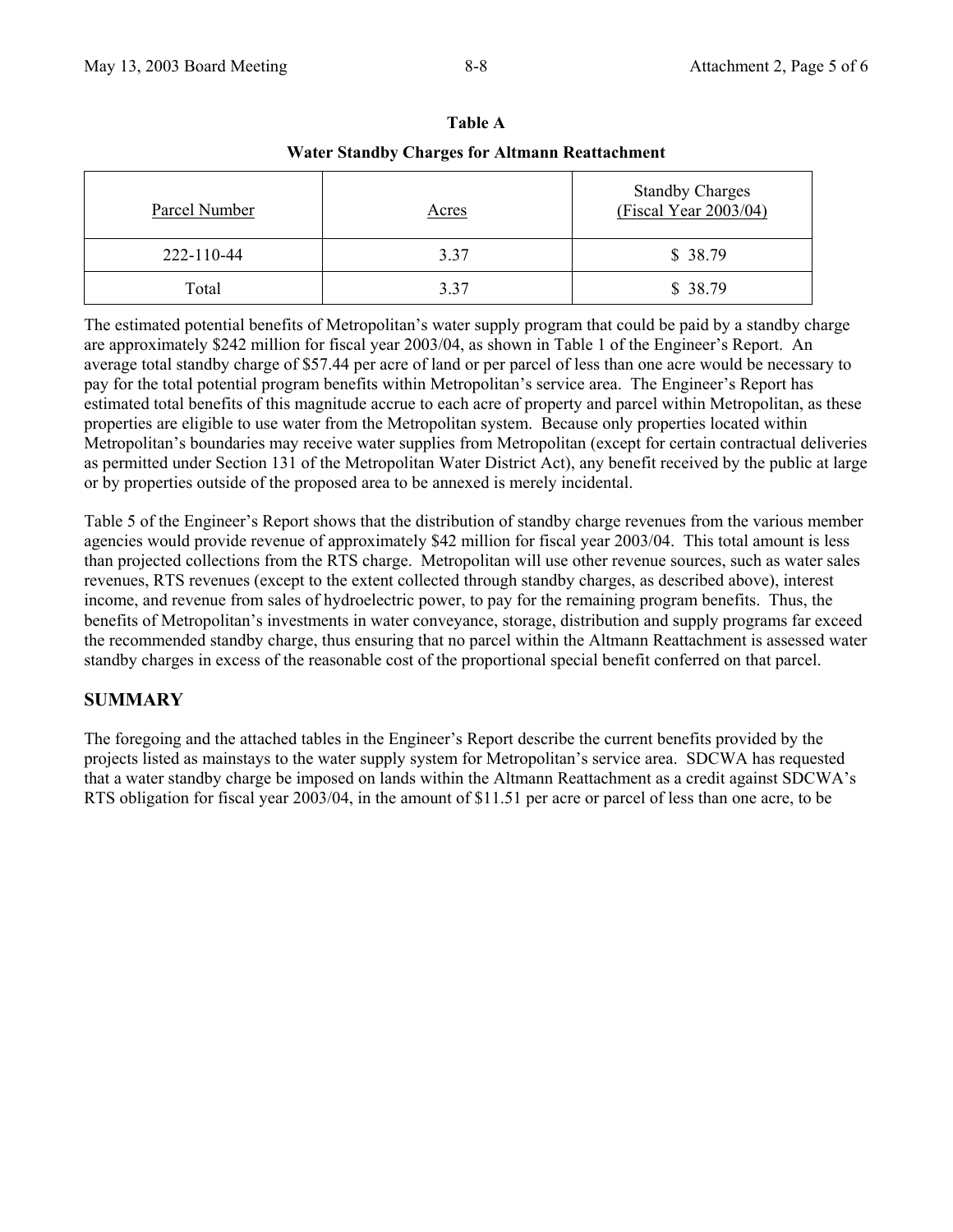| <i>v</i> atti stanuby Charges for Altinanii Keattachinent |              |                                                 |
|-----------------------------------------------------------|--------------|-------------------------------------------------|
| Parcel Number                                             | <u>Acres</u> | <b>Standby Charges</b><br>(Fiscal Year 2003/04) |
| 222-110-44                                                | 3.37         | \$38.79                                         |
| Total                                                     | 3.37         | \$38.79                                         |

**Table A Water Standby Charges for Altmann Reattachment** 

The estimated potential benefits of Metropolitan's water supply program that could be paid by a standby charge are approximately \$242 million for fiscal year 2003/04, as shown in Table 1 of the Engineer's Report. An average total standby charge of \$57.44 per acre of land or per parcel of less than one acre would be necessary to pay for the total potential program benefits within Metropolitan's service area. The Engineer's Report has estimated total benefits of this magnitude accrue to each acre of property and parcel within Metropolitan, as these properties are eligible to use water from the Metropolitan system. Because only properties located within Metropolitan's boundaries may receive water supplies from Metropolitan (except for certain contractual deliveries as permitted under Section 131 of the Metropolitan Water District Act), any benefit received by the public at large or by properties outside of the proposed area to be annexed is merely incidental.

Table 5 of the Engineer's Report shows that the distribution of standby charge revenues from the various member agencies would provide revenue of approximately \$42 million for fiscal year 2003/04. This total amount is less than projected collections from the RTS charge. Metropolitan will use other revenue sources, such as water sales revenues, RTS revenues (except to the extent collected through standby charges, as described above), interest income, and revenue from sales of hydroelectric power, to pay for the remaining program benefits. Thus, the benefits of Metropolitan's investments in water conveyance, storage, distribution and supply programs far exceed the recommended standby charge, thus ensuring that no parcel within the Altmann Reattachment is assessed water standby charges in excess of the reasonable cost of the proportional special benefit conferred on that parcel.

# **SUMMARY**

The foregoing and the attached tables in the Engineer's Report describe the current benefits provided by the projects listed as mainstays to the water supply system for Metropolitan's service area. SDCWA has requested that a water standby charge be imposed on lands within the Altmann Reattachment as a credit against SDCWA's RTS obligation for fiscal year 2003/04, in the amount of \$11.51 per acre or parcel of less than one acre, to be